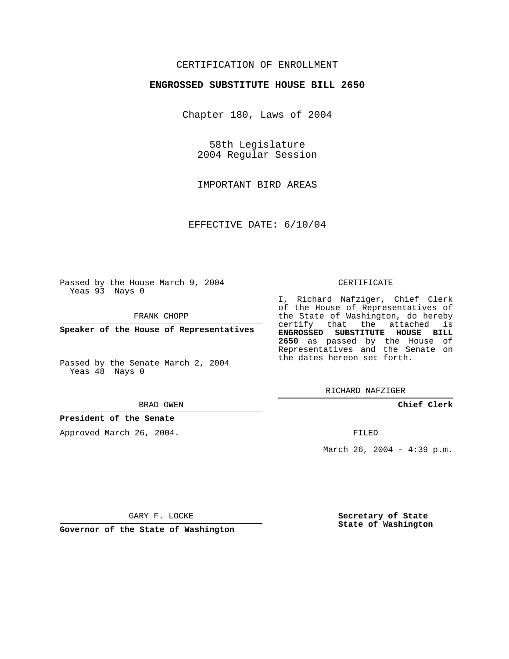## CERTIFICATION OF ENROLLMENT

### **ENGROSSED SUBSTITUTE HOUSE BILL 2650**

Chapter 180, Laws of 2004

58th Legislature 2004 Regular Session

IMPORTANT BIRD AREAS

EFFECTIVE DATE: 6/10/04

Passed by the House March 9, 2004 Yeas 93 Nays 0

FRANK CHOPP

**Speaker of the House of Representatives**

Passed by the Senate March 2, 2004 Yeas 48 Nays 0

#### BRAD OWEN

## **President of the Senate**

Approved March 26, 2004.

#### CERTIFICATE

I, Richard Nafziger, Chief Clerk of the House of Representatives of the State of Washington, do hereby certify that the attached is **ENGROSSED SUBSTITUTE HOUSE BILL 2650** as passed by the House of Representatives and the Senate on the dates hereon set forth.

RICHARD NAFZIGER

**Chief Clerk**

FILED

March 26, 2004 - 4:39 p.m.

GARY F. LOCKE

**Governor of the State of Washington**

**Secretary of State State of Washington**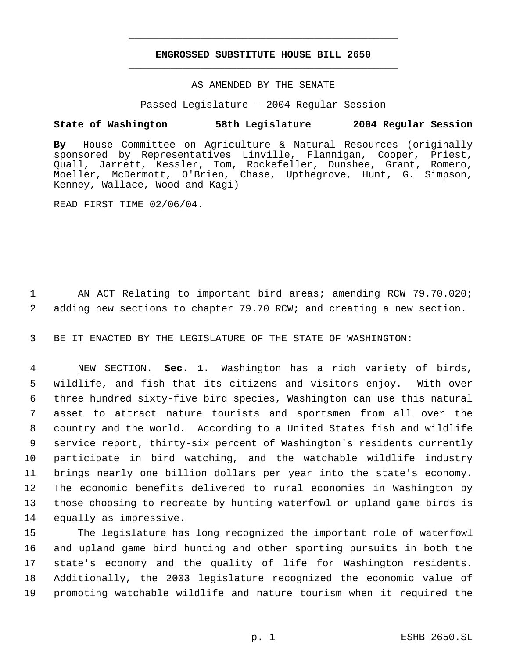# **ENGROSSED SUBSTITUTE HOUSE BILL 2650** \_\_\_\_\_\_\_\_\_\_\_\_\_\_\_\_\_\_\_\_\_\_\_\_\_\_\_\_\_\_\_\_\_\_\_\_\_\_\_\_\_\_\_\_\_

\_\_\_\_\_\_\_\_\_\_\_\_\_\_\_\_\_\_\_\_\_\_\_\_\_\_\_\_\_\_\_\_\_\_\_\_\_\_\_\_\_\_\_\_\_

### AS AMENDED BY THE SENATE

Passed Legislature - 2004 Regular Session

## **State of Washington 58th Legislature 2004 Regular Session**

**By** House Committee on Agriculture & Natural Resources (originally sponsored by Representatives Linville, Flannigan, Cooper, Priest, Quall, Jarrett, Kessler, Tom, Rockefeller, Dunshee, Grant, Romero, Moeller, McDermott, O'Brien, Chase, Upthegrove, Hunt, G. Simpson, Kenney, Wallace, Wood and Kagi)

READ FIRST TIME 02/06/04.

 1 AN ACT Relating to important bird areas; amending RCW 79.70.020; 2 adding new sections to chapter 79.70 RCW; and creating a new section.

3 BE IT ENACTED BY THE LEGISLATURE OF THE STATE OF WASHINGTON:

 NEW SECTION. **Sec. 1.** Washington has a rich variety of birds, wildlife, and fish that its citizens and visitors enjoy. With over three hundred sixty-five bird species, Washington can use this natural asset to attract nature tourists and sportsmen from all over the country and the world. According to a United States fish and wildlife service report, thirty-six percent of Washington's residents currently participate in bird watching, and the watchable wildlife industry brings nearly one billion dollars per year into the state's economy. The economic benefits delivered to rural economies in Washington by those choosing to recreate by hunting waterfowl or upland game birds is equally as impressive.

 The legislature has long recognized the important role of waterfowl and upland game bird hunting and other sporting pursuits in both the state's economy and the quality of life for Washington residents. Additionally, the 2003 legislature recognized the economic value of promoting watchable wildlife and nature tourism when it required the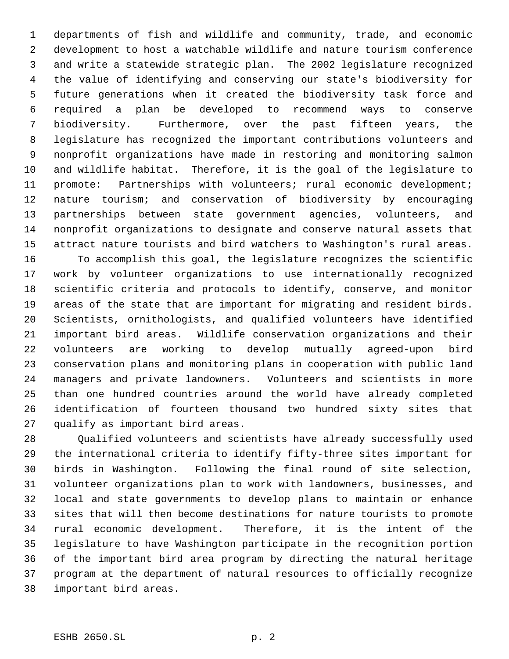departments of fish and wildlife and community, trade, and economic development to host a watchable wildlife and nature tourism conference and write a statewide strategic plan. The 2002 legislature recognized the value of identifying and conserving our state's biodiversity for future generations when it created the biodiversity task force and required a plan be developed to recommend ways to conserve biodiversity. Furthermore, over the past fifteen years, the legislature has recognized the important contributions volunteers and nonprofit organizations have made in restoring and monitoring salmon and wildlife habitat. Therefore, it is the goal of the legislature to promote: Partnerships with volunteers; rural economic development; nature tourism; and conservation of biodiversity by encouraging partnerships between state government agencies, volunteers, and nonprofit organizations to designate and conserve natural assets that attract nature tourists and bird watchers to Washington's rural areas. To accomplish this goal, the legislature recognizes the scientific work by volunteer organizations to use internationally recognized scientific criteria and protocols to identify, conserve, and monitor areas of the state that are important for migrating and resident birds. Scientists, ornithologists, and qualified volunteers have identified important bird areas. Wildlife conservation organizations and their volunteers are working to develop mutually agreed-upon bird conservation plans and monitoring plans in cooperation with public land managers and private landowners. Volunteers and scientists in more than one hundred countries around the world have already completed identification of fourteen thousand two hundred sixty sites that qualify as important bird areas.

 Qualified volunteers and scientists have already successfully used the international criteria to identify fifty-three sites important for birds in Washington. Following the final round of site selection, volunteer organizations plan to work with landowners, businesses, and local and state governments to develop plans to maintain or enhance sites that will then become destinations for nature tourists to promote rural economic development. Therefore, it is the intent of the legislature to have Washington participate in the recognition portion of the important bird area program by directing the natural heritage program at the department of natural resources to officially recognize important bird areas.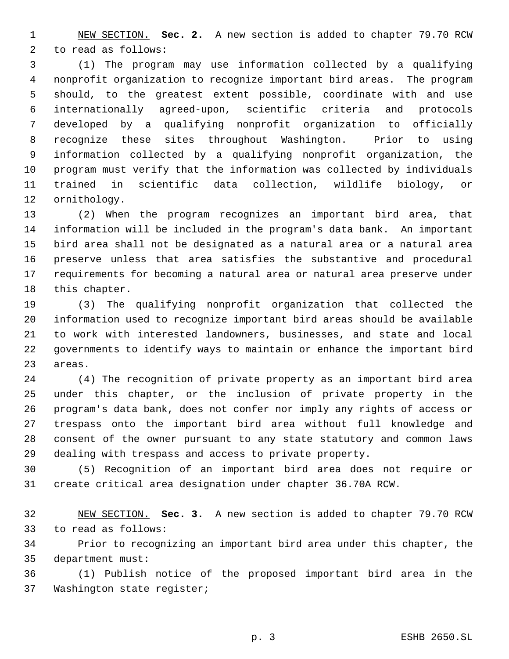NEW SECTION. **Sec. 2.** A new section is added to chapter 79.70 RCW to read as follows:

 (1) The program may use information collected by a qualifying nonprofit organization to recognize important bird areas. The program should, to the greatest extent possible, coordinate with and use internationally agreed-upon, scientific criteria and protocols developed by a qualifying nonprofit organization to officially recognize these sites throughout Washington. Prior to using information collected by a qualifying nonprofit organization, the program must verify that the information was collected by individuals trained in scientific data collection, wildlife biology, or ornithology.

 (2) When the program recognizes an important bird area, that information will be included in the program's data bank. An important bird area shall not be designated as a natural area or a natural area preserve unless that area satisfies the substantive and procedural requirements for becoming a natural area or natural area preserve under this chapter.

 (3) The qualifying nonprofit organization that collected the information used to recognize important bird areas should be available to work with interested landowners, businesses, and state and local governments to identify ways to maintain or enhance the important bird areas.

 (4) The recognition of private property as an important bird area under this chapter, or the inclusion of private property in the program's data bank, does not confer nor imply any rights of access or trespass onto the important bird area without full knowledge and consent of the owner pursuant to any state statutory and common laws dealing with trespass and access to private property.

 (5) Recognition of an important bird area does not require or create critical area designation under chapter 36.70A RCW.

 NEW SECTION. **Sec. 3.** A new section is added to chapter 79.70 RCW to read as follows:

 Prior to recognizing an important bird area under this chapter, the department must:

 (1) Publish notice of the proposed important bird area in the Washington state register;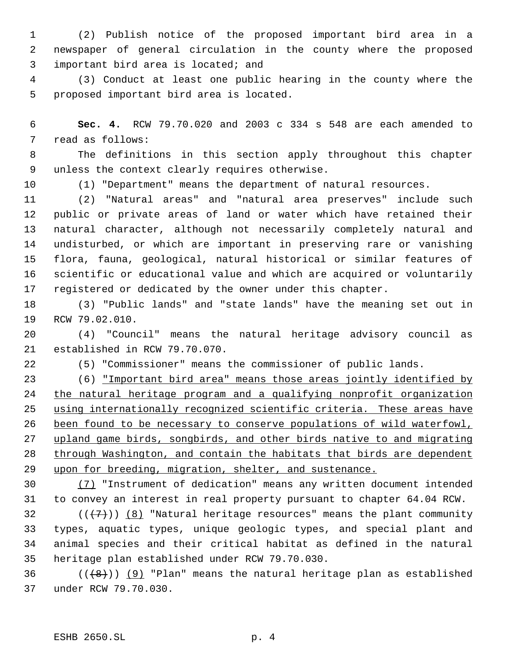(2) Publish notice of the proposed important bird area in a newspaper of general circulation in the county where the proposed important bird area is located; and

 (3) Conduct at least one public hearing in the county where the proposed important bird area is located.

 **Sec. 4.** RCW 79.70.020 and 2003 c 334 s 548 are each amended to read as follows:

 The definitions in this section apply throughout this chapter unless the context clearly requires otherwise.

(1) "Department" means the department of natural resources.

 (2) "Natural areas" and "natural area preserves" include such public or private areas of land or water which have retained their natural character, although not necessarily completely natural and undisturbed, or which are important in preserving rare or vanishing flora, fauna, geological, natural historical or similar features of scientific or educational value and which are acquired or voluntarily registered or dedicated by the owner under this chapter.

 (3) "Public lands" and "state lands" have the meaning set out in RCW 79.02.010.

 (4) "Council" means the natural heritage advisory council as established in RCW 79.70.070.

(5) "Commissioner" means the commissioner of public lands.

 (6) "Important bird area" means those areas jointly identified by the natural heritage program and a qualifying nonprofit organization using internationally recognized scientific criteria. These areas have been found to be necessary to conserve populations of wild waterfowl, upland game birds, songbirds, and other birds native to and migrating through Washington, and contain the habitats that birds are dependent upon for breeding, migration, shelter, and sustenance.

 (7) "Instrument of dedication" means any written document intended to convey an interest in real property pursuant to chapter 64.04 RCW.

32 ( $(\overline{\{7\}})$   $\underline{\{8\}}$  "Natural heritage resources" means the plant community types, aquatic types, unique geologic types, and special plant and animal species and their critical habitat as defined in the natural heritage plan established under RCW 79.70.030.

36  $((+8))$  (9) "Plan" means the natural heritage plan as established under RCW 79.70.030.